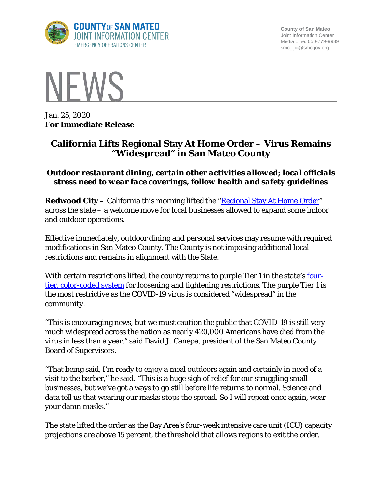

**County of San Mateo** Joint Information Center Media Line: 650-779-9939 smc\_ jic@smcgov.org



Jan. 25, 2020 **For Immediate Release**

# **California Lifts Regional Stay At Home Order – Virus Remains "Widespread" in San Mateo County**

# *Outdoor restaurant dining, certain other activities allowed; local officials stress need to wear face coverings, follow health and safety guidelines*

**Redwood City** – California this morning lifted the "**Regional Stay At Home Order**" across the state – a welcome move for local businesses allowed to expand some indoor and outdoor operations.

Effective immediately, outdoor dining and personal services may resume with required modifications in San Mateo County. The County is not imposing additional local restrictions and remains in alignment with the State.

With certain restrictions lifted, the county returns to purple Tier 1 in the state's [four](https://covid19.ca.gov/safer-economy/)[tier, color-coded system](https://covid19.ca.gov/safer-economy/) for loosening and tightening restrictions. The purple Tier 1 is the most restrictive as the COVID-19 virus is considered "widespread" in the community.

"This is encouraging news, but we must caution the public that COVID-19 is still very much widespread across the nation as nearly 420,000 Americans have died from the virus in less than a year," said David J. Canepa, president of the San Mateo County Board of Supervisors.

"That being said, I'm ready to enjoy a meal outdoors again and certainly in need of a visit to the barber," he said. "This is a huge sigh of relief for our struggling small businesses, but we've got a ways to go still before life returns to normal. Science and data tell us that wearing our masks stops the spread. So I will repeat once again, wear your damn masks."

The state lifted the order as the Bay Area's four-week intensive care unit (ICU) capacity projections are above 15 percent, the threshold that allows regions to exit the order.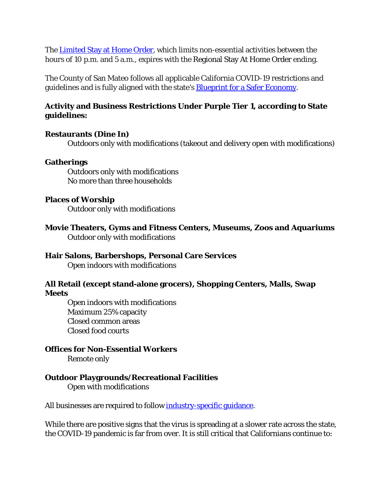The [Limited Stay at Home Order,](https://www.cdph.ca.gov/Programs/CID/DCDC/Pages/COVID-19/limited-stay-at-home-order.aspx) which limits non-essential activities between the hours of 10 p.m. and 5 a.m., expires with the Regional Stay At Home Order ending.

The County of San Mateo follows all applicable California COVID-19 restrictions and guidelines and is fully aligned with the state's **Blueprint for a Safer Economy**.

# **Activity and Business Restrictions Under Purple Tier 1, according to State guidelines:**

#### **Restaurants (Dine In)**

Outdoors only with modifications (takeout and delivery open with modifications)

#### **Gatherings**

Outdoors only with modifications No more than three households

#### **Places of Worship**

Outdoor only with modifications

**Movie Theaters, Gyms and Fitness Centers, Museums, Zoos and Aquariums** Outdoor only with modifications

# **Hair Salons, Barbershops, Personal Care Services**

Open indoors with modifications

### **All Retail (except stand-alone grocers), Shopping Centers, Malls, Swap Meets**

 Open indoors with modifications Maximum 25% capacity Closed common areas Closed food courts

### **Offices for Non-Essential Workers**

Remote only

### **Outdoor Playgrounds/Recreational Facilities**

Open with modifications

All businesses are required to follow [industry-specific guidance.](https://covid19.ca.gov/industry-guidance/)

While there are positive signs that the virus is spreading at a slower rate across the state, the COVID-19 pandemic is far from over. It is still critical that Californians continue to: